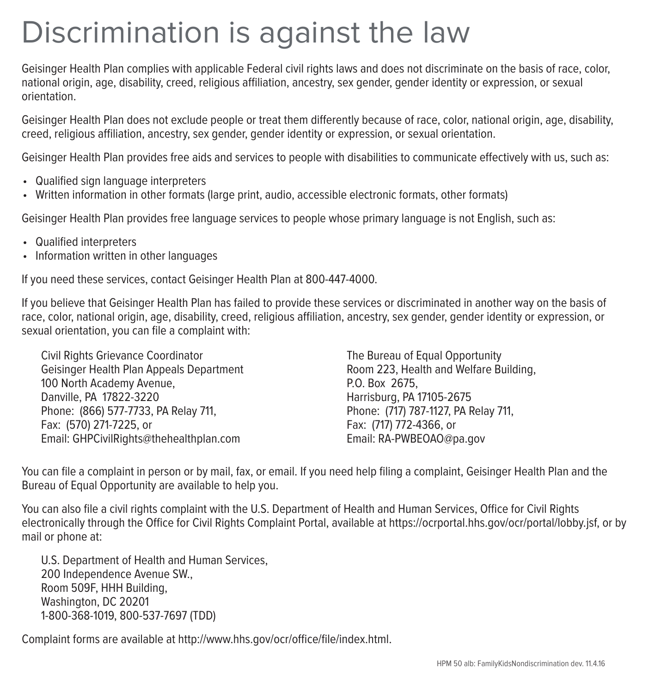## Discrimination is against the law

Geisinger Health Plan complies with applicable Federal civil rights laws and does not discriminate on the basis of race, color, national origin, age, disability, creed, religious affiliation, ancestry, sex gender, gender identity or expression, or sexual orientation.

Geisinger Health Plan does not exclude people or treat them differently because of race, color, national origin, age, disability, creed, religious affiliation, ancestry, sex gender, gender identity or expression, or sexual orientation.

Geisinger Health Plan provides free aids and services to people with disabilities to communicate effectively with us, such as:

- Qualified sign language interpreters
- Written information in other formats (large print, audio, accessible electronic formats, other formats)

Geisinger Health Plan provides free language services to people whose primary language is not English, such as:

- Qualified interpreters
- Information written in other languages

If you need these services, contact Geisinger Health Plan at 800-447-4000.

If you believe that Geisinger Health Plan has failed to provide these services or discriminated in another way on the basis of race, color, national origin, age, disability, creed, religious affiliation, ancestry, sex gender, gender identity or expression, or sexual orientation, you can file a complaint with:

Civil Rights Grievance Coordinator Geisinger Health Plan Appeals Department 100 North Academy Avenue, Danville, PA 17822-3220 Phone: (866) 577-7733, PA Relay 711, Fax: (570) 271-7225, or Email: GHPCivilRights@thehealthplan.com

The Bureau of Equal Opportunity Room 223, Health and Welfare Building, P.O. Box 2675, Harrisburg, PA 17105-2675 Phone: (717) 787-1127, PA Relay 711, Fax: (717) 772-4366, or Email: RA-PWBEOAO@pa.gov

You can file a complaint in person or by mail, fax, or email. If you need help filing a complaint, Geisinger Health Plan and the Bureau of Equal Opportunity are available to help you.

You can also file a civil rights complaint with the U.S. Department of Health and Human Services, Office for Civil Rights electronically through the Office for Civil Rights Complaint Portal, available at https://ocrportal.hhs.gov/ocr/portal/lobby.jsf, or by mail or phone at:

U.S. Department of Health and Human Services, 200 Independence Avenue SW., Room 509F, HHH Building, Washington, DC 20201 1-800-368-1019, 800-537-7697 (TDD)

Complaint forms are available at http://www.hhs.gov/ocr/office/file/index.html.